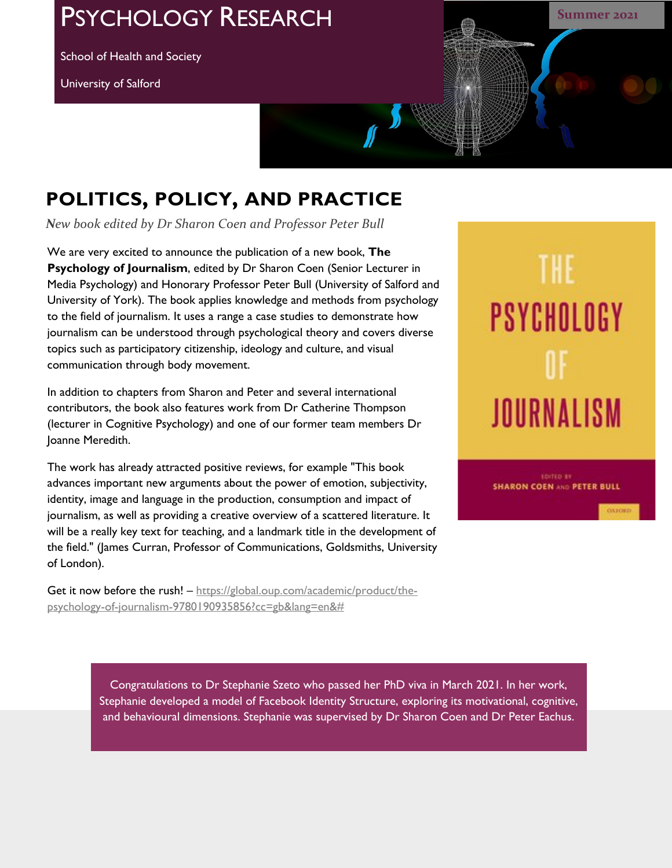## PSYCHOLOGY RESEARCH

School of Health and Society

University of Salford



## **POLITICS, POLICY, AND PRACTICE**

*New book edited by Dr Sharon Coen and Professor Peter Bull*

We are very excited to announce the publication of a new book, **The Psychology of Journalism**, edited by Dr Sharon Coen (Senior Lecturer in Media Psychology) and Honorary Professor Peter Bull (University of Salford and University of York). The book applies knowledge and methods from psychology to the field of journalism. It uses a range a case studies to demonstrate how journalism can be understood through psychological theory and covers diverse topics such as participatory citizenship, ideology and culture, and visual communication through body movement.

In addition to chapters from Sharon and Peter and several international contributors, the book also features work from Dr Catherine Thompson (lecturer in Cognitive Psychology) and one of our former team members Dr Joanne Meredith.

The work has already attracted positive reviews, for example "This book advances important new arguments about the power of emotion, subjectivity, identity, image and language in the production, consumption and impact of journalism, as well as providing a creative overview of a scattered literature. It will be a really key text for teaching, and a landmark title in the development of the field." (James Curran, Professor of Communications, Goldsmiths, University of London).

Get it now before the rush! - https://global.oup.com/academic/product/thepsychology-of-journalism-9780190935856?cc=gb&lang=en&#

# THE PSYCHOLOGY JOURNALISM

**SHARON COEN AND PETER BULL** 

COLECHE

Congratulations to Dr Stephanie Szeto who passed her PhD viva in March 2021. In her work, Stephanie developed a model of Facebook Identity Structure, exploring its motivational, cognitive, and behavioural dimensions. Stephanie was supervised by Dr Sharon Coen and Dr Peter Eachus.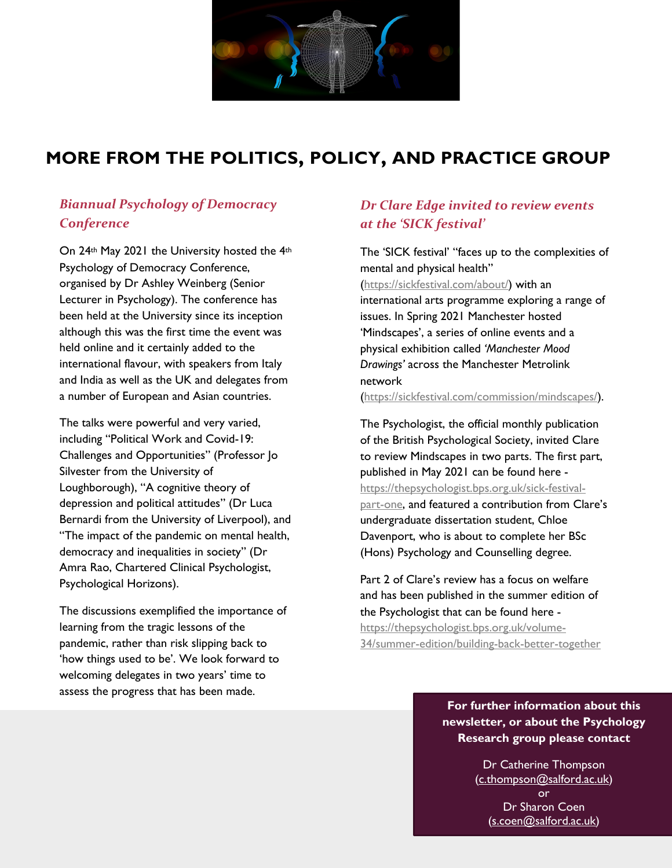

## **MORE FROM THE POLITICS, POLICY, AND PRACTICE GROUP**

## *Biannual Psychology of Democracy Conference*

On 24<sup>th</sup> May 2021 the University hosted the 4<sup>th</sup> Psychology of Democracy Conference, organised by Dr Ashley Weinberg (Senior Lecturer in Psychology). The conference has been held at the University since its inception although this was the first time the event was held online and it certainly added to the international flavour, with speakers from Italy and India as well as the UK and delegates from a number of European and Asian countries.

The talks were powerful and very varied, including "Political Work and Covid-19: Challenges and Opportunities" (Professor Jo Silvester from the University of Loughborough), "A cognitive theory of depression and political attitudes" (Dr Luca Bernardi from the University of Liverpool), and "The impact of the pandemic on mental health, democracy and inequalities in society" (Dr Amra Rao, Chartered Clinical Psychologist, Psychological Horizons).

The discussions exemplified the importance of learning from the tragic lessons of the pandemic, rather than risk slipping back to 'how things used to be'. We look forward to welcoming delegates in two years' time to assess the progress that has been made.

## *Dr Clare Edge invited to review events at the 'SICK festival'*

The 'SICK festival' "faces up to the complexities of mental and physical health" (https://sickfestival.com/about/) with an international arts programme exploring a range of issues. In Spring 2021 Manchester hosted 'Mindscapes', a series of online events and a physical exhibition called *'Manchester Mood Drawings'* across the Manchester Metrolink network

(https://sickfestival.com/commission/mindscapes/).

The Psychologist, the official monthly publication of the British Psychological Society, invited Clare to review Mindscapes in two parts. The first part, published in May 2021 can be found here https://thepsychologist.bps.org.uk/sick-festivalpart-one, and featured a contribution from Clare's undergraduate dissertation student, Chloe Davenport, who is about to complete her BSc (Hons) Psychology and Counselling degree.

Part 2 of Clare's review has a focus on welfare and has been published in the summer edition of the Psychologist that can be found here https://thepsychologist.bps.org.uk/volume-34/summer-edition/building-back-better-together

> **For further information about this newsletter, or about the Psychology Research group please contact**

> > Dr Catherine Thompson (c.thompson@salford.ac.uk) or Dr Sharon Coen

(s.coen@salford.ac.uk)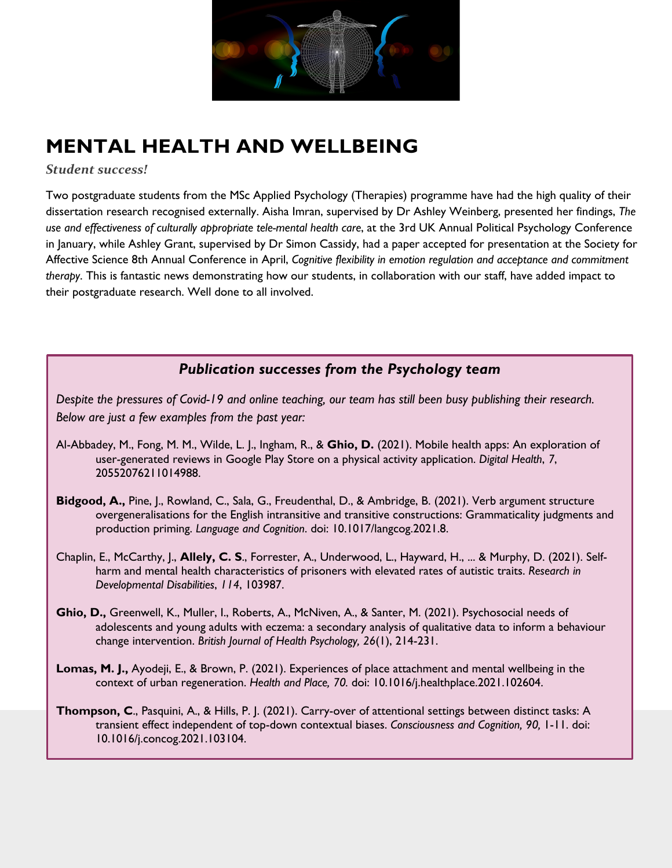

## **MENTAL HEALTH AND WELLBEING**

*Student success!*

Two postgraduate students from the MSc Applied Psychology (Therapies) programme have had the high quality of their dissertation research recognised externally. Aisha Imran, supervised by Dr Ashley Weinberg, presented her findings, *The use and effectiveness of culturally appropriate tele-mental health care*, at the 3rd UK Annual Political Psychology Conference in January, while Ashley Grant, supervised by Dr Simon Cassidy, had a paper accepted for presentation at the Society for Affective Science 8th Annual Conference in April, *Cognitive flexibility in emotion regulation and acceptance and commitment therapy*. This is fantastic news demonstrating how our students, in collaboration with our staff, have added impact to their postgraduate research. Well done to all involved.

## *Publication successes from the Psychology team*

*Despite the pressures of Covid-19 and online teaching, our team has still been busy publishing their research. Below are just a few examples from the past year:*

- Al-Abbadey, M., Fong, M. M., Wilde, L. J., Ingham, R., & **Ghio, D.** (2021). Mobile health apps: An exploration of user-generated reviews in Google Play Store on a physical activity application. *Digital Health*, *7*, 20552076211014988.
- **Bidgood, A.,** Pine, J., Rowland, C., Sala, G., Freudenthal, D., & Ambridge, B. (2021). Verb argument structure overgeneralisations for the English intransitive and transitive constructions: Grammaticality judgments and production priming. *Language and Cognition*. doi: 10.1017/langcog.2021.8.
- Chaplin, E., McCarthy, J., **Allely, C. S**., Forrester, A., Underwood, L., Hayward, H., ... & Murphy, D. (2021). Selfharm and mental health characteristics of prisoners with elevated rates of autistic traits. *Research in Developmental Disabilities*, *114*, 103987.
- **Ghio, D.,** Greenwell, K., Muller, I., Roberts, A., McNiven, A., & Santer, M. (2021). Psychosocial needs of adolescents and young adults with eczema: a secondary analysis of qualitative data to inform a behaviour change intervention. *British Journal of Health Psychology, 26*(1), 214-231.
- **Lomas, M. J.,** Ayodeji, E., & Brown, P. (2021). Experiences of place attachment and mental wellbeing in the context of urban regeneration. *Health and Place, 70.* doi: 10.1016/j.healthplace.2021.102604.
- **Thompson, C**., Pasquini, A., & Hills, P. J. (2021). Carry-over of attentional settings between distinct tasks: A transient effect independent of top-down contextual biases. *Consciousness and Cognition, 90,* 1-11. doi: 10.1016/j.concog.2021.103104.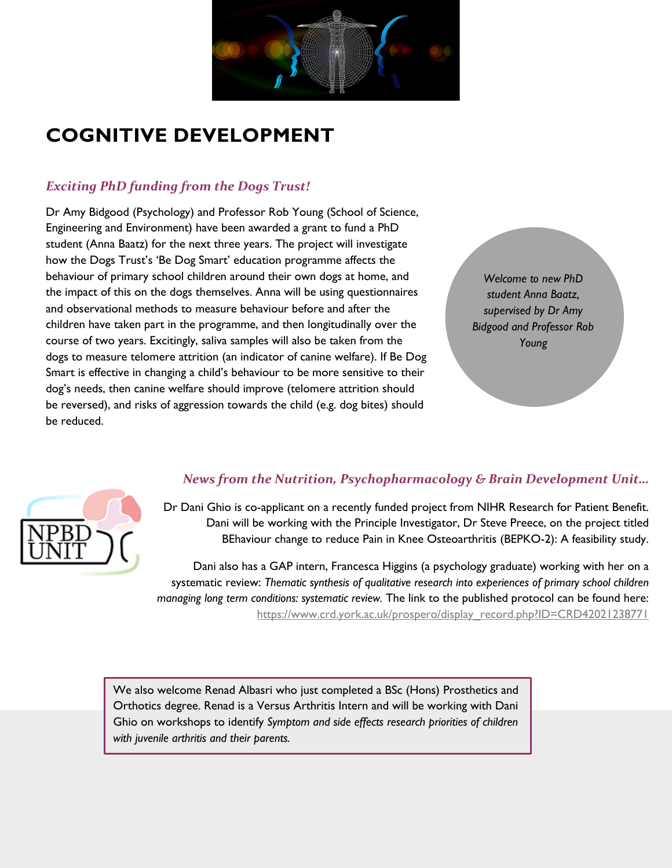

## **COGNITIVE DEVELOPMENT**

## *Exciting PhD funding from the Dogs Trust!*

Dr Amy Bidgood (Psychology) and Professor Rob Young (School of Science, Engineering and Environment) have been awarded a grant to fund a PhD student (Anna Baatz) for the next three years. The project will investigate how the Dogs Trust's 'Be Dog Smart' education programme affects the behaviour of primary school children around their own dogs at home, and the impact of this on the dogs themselves. Anna will be using questionnaires and observational methods to measure behaviour before and after the children have taken part in the programme, and then longitudinally over the course of two years. Excitingly, saliva samples will also be taken from the dogs to measure telomere attrition (an indicator of canine welfare). If Be Dog Smart is effective in changing a child's behaviour to be more sensitive to their dog's needs, then canine welfare should improve (telomere attrition should be reversed), and risks of aggression towards the child (e.g. dog bites) should be reduced.

*Welcome to new PhD student Anna Baatz, supervised by Dr Amy Bidgood and Professor Rob Young*



#### *News from the Nutrition, Psychopharmacology & Brain Development Unit…*

Dr Dani Ghio is co-applicant on a recently funded project from NIHR Research for Patient Benefit. Dani will be working with the Principle Investigator, Dr Steve Preece, on the project titled BEhaviour change to reduce Pain in Knee Osteoarthritis (BEPKO-2): A feasibility study.

Dani also has a GAP intern, Francesca Higgins (a psychology graduate) working with her on a systematic review: *Thematic synthesis of qualitative research into experiences of primary school children managing long term conditions: systematic review.* The link to the published protocol can be found here: https://www.crd.york.ac.uk/prospero/display\_record.php?ID=CRD42021238771

We also welcome Renad Albasri who just completed a BSc (Hons) Prosthetics and Orthotics degree. Renad is a Versus Arthritis Intern and will be working with Dani Ghio on workshops to identify *Symptom and side effects research priorities of children with juvenile arthritis and their parents.*